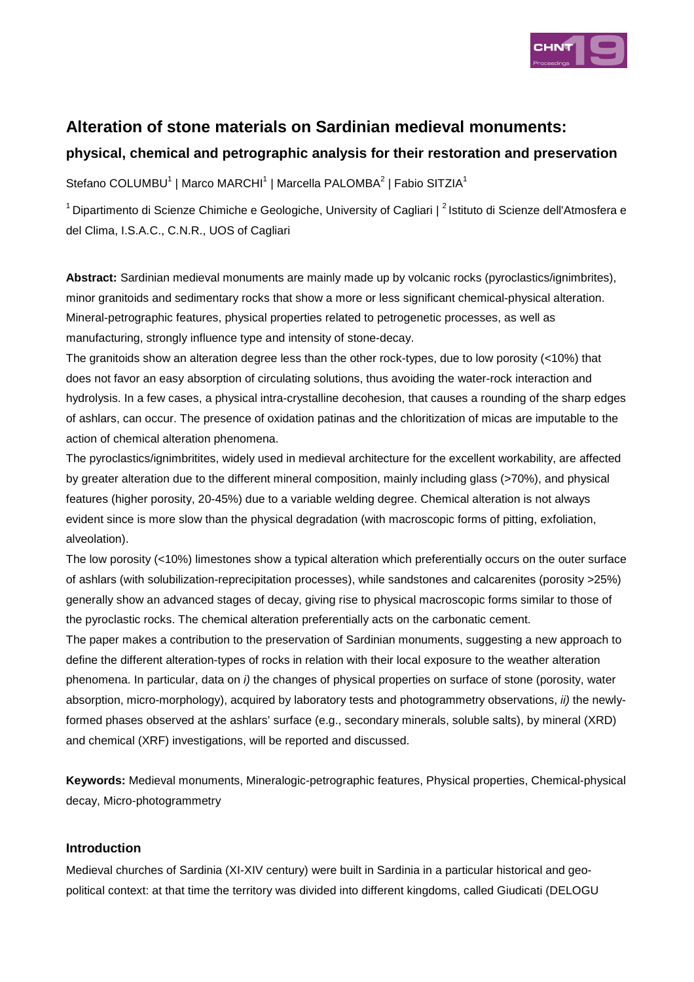

# **Alteration of stone materials on Sardinian medieval monuments:**

## **physical, chemical and petrographic analysis for their restoration and preservation**

Stefano COLUMBU<sup>1</sup> | Marco MARCHI<sup>1</sup> | Marcella PALOMBA<sup>2</sup> | Fabio SITZIA<sup>1</sup>

<sup>1</sup> Dipartimento di Scienze Chimiche e Geologiche, University of Cagliari | <sup>2</sup> Istituto di Scienze dell'Atmosfera e del Clima, I.S.A.C., C.N.R., UOS of Cagliari

**Abstract:** Sardinian medieval monuments are mainly made up by volcanic rocks (pyroclastics/ignimbrites), minor granitoids and sedimentary rocks that show a more or less significant chemical-physical alteration. Mineral-petrographic features, physical properties related to petrogenetic processes, as well as manufacturing, strongly influence type and intensity of stone-decay.

The granitoids show an alteration degree less than the other rock-types, due to low porosity (<10%) that does not favor an easy absorption of circulating solutions, thus avoiding the water-rock interaction and hydrolysis. In a few cases, a physical intra-crystalline decohesion, that causes a rounding of the sharp edges of ashlars, can occur. The presence of oxidation patinas and the chloritization of micas are imputable to the action of chemical alteration phenomena.

The pyroclastics/ignimbritites, widely used in medieval architecture for the excellent workability, are affected by greater alteration due to the different mineral composition, mainly including glass (>70%), and physical features (higher porosity, 20-45%) due to a variable welding degree. Chemical alteration is not always evident since is more slow than the physical degradation (with macroscopic forms of pitting, exfoliation, alveolation).

The low porosity (<10%) limestones show a typical alteration which preferentially occurs on the outer surface of ashlars (with solubilization-reprecipitation processes), while sandstones and calcarenites (porosity >25%) generally show an advanced stages of decay, giving rise to physical macroscopic forms similar to those of the pyroclastic rocks. The chemical alteration preferentially acts on the carbonatic cement.

The paper makes a contribution to the preservation of Sardinian monuments, suggesting a new approach to define the different alteration-types of rocks in relation with their local exposure to the weather alteration phenomena. In particular, data on i) the changes of physical properties on surface of stone (porosity, water absorption, micro-morphology), acquired by laboratory tests and photogrammetry observations, ii) the newlyformed phases observed at the ashlars' surface (e.g., secondary minerals, soluble salts), by mineral (XRD) and chemical (XRF) investigations, will be reported and discussed.

**Keywords:** Medieval monuments, Mineralogic-petrographic features, Physical properties, Chemical-physical decay, Micro-photogrammetry

## **Introduction**

Medieval churches of Sardinia (XI-XIV century) were built in Sardinia in a particular historical and geopolitical context: at that time the territory was divided into different kingdoms, called Giudicati (DELOGU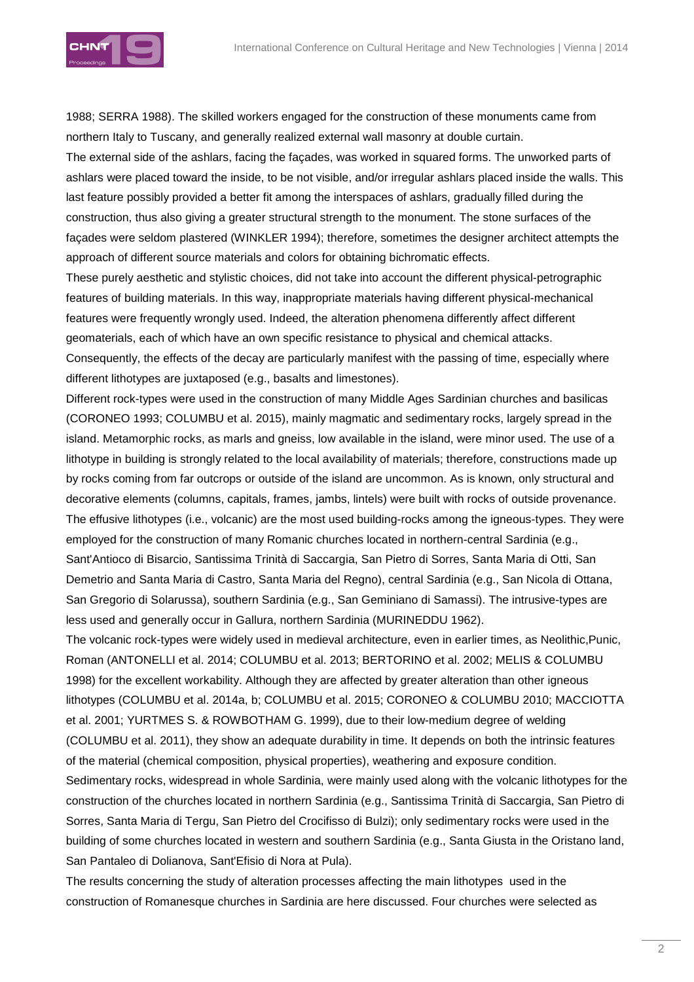

1988; SERRA 1988). The skilled workers engaged for the construction of these monuments came from northern Italy to Tuscany, and generally realized external wall masonry at double curtain.

The external side of the ashlars, facing the façades, was worked in squared forms. The unworked parts of ashlars were placed toward the inside, to be not visible, and/or irregular ashlars placed inside the walls. This last feature possibly provided a better fit among the interspaces of ashlars, gradually filled during the construction, thus also giving a greater structural strength to the monument. The stone surfaces of the façades were seldom plastered (WINKLER 1994); therefore, sometimes the designer architect attempts the approach of different source materials and colors for obtaining bichromatic effects.

These purely aesthetic and stylistic choices, did not take into account the different physical-petrographic features of building materials. In this way, inappropriate materials having different physical-mechanical features were frequently wrongly used. Indeed, the alteration phenomena differently affect different geomaterials, each of which have an own specific resistance to physical and chemical attacks.

Consequently, the effects of the decay are particularly manifest with the passing of time, especially where different lithotypes are juxtaposed (e.g., basalts and limestones).

Different rock-types were used in the construction of many Middle Ages Sardinian churches and basilicas (CORONEO 1993; COLUMBU et al. 2015), mainly magmatic and sedimentary rocks, largely spread in the island. Metamorphic rocks, as marls and gneiss, low available in the island, were minor used. The use of a lithotype in building is strongly related to the local availability of materials; therefore, constructions made up by rocks coming from far outcrops or outside of the island are uncommon. As is known, only structural and decorative elements (columns, capitals, frames, jambs, lintels) were built with rocks of outside provenance. The effusive lithotypes (i.e., volcanic) are the most used building-rocks among the igneous-types. They were employed for the construction of many Romanic churches located in northern-central Sardinia (e.g., Sant'Antioco di Bisarcio, Santissima Trinità di Saccargia, San Pietro di Sorres, Santa Maria di Otti, San Demetrio and Santa Maria di Castro, Santa Maria del Regno), central Sardinia (e.g., San Nicola di Ottana, San Gregorio di Solarussa), southern Sardinia (e.g., San Geminiano di Samassi). The intrusive-types are less used and generally occur in Gallura, northern Sardinia (MURINEDDU 1962).

The volcanic rock-types were widely used in medieval architecture, even in earlier times, as Neolithic,Punic, Roman (ANTONELLI et al. 2014; COLUMBU et al. 2013; BERTORINO et al. 2002; MELIS & COLUMBU 1998) for the excellent workability. Although they are affected by greater alteration than other igneous lithotypes (COLUMBU et al. 2014a, b; COLUMBU et al. 2015; CORONEO & COLUMBU 2010; MACCIOTTA et al. 2001; YURTMES S. & ROWBOTHAM G. 1999), due to their low-medium degree of welding (COLUMBU et al. 2011), they show an adequate durability in time. It depends on both the intrinsic features of the material (chemical composition, physical properties), weathering and exposure condition. Sedimentary rocks, widespread in whole Sardinia, were mainly used along with the volcanic lithotypes for the construction of the churches located in northern Sardinia (e.g., Santissima Trinità di Saccargia, San Pietro di Sorres, Santa Maria di Tergu, San Pietro del Crocifisso di Bulzi); only sedimentary rocks were used in the building of some churches located in western and southern Sardinia (e.g., Santa Giusta in the Oristano land, San Pantaleo di Dolianova, Sant'Efisio di Nora at Pula).

The results concerning the study of alteration processes affecting the main lithotypes used in the construction of Romanesque churches in Sardinia are here discussed. Four churches were selected as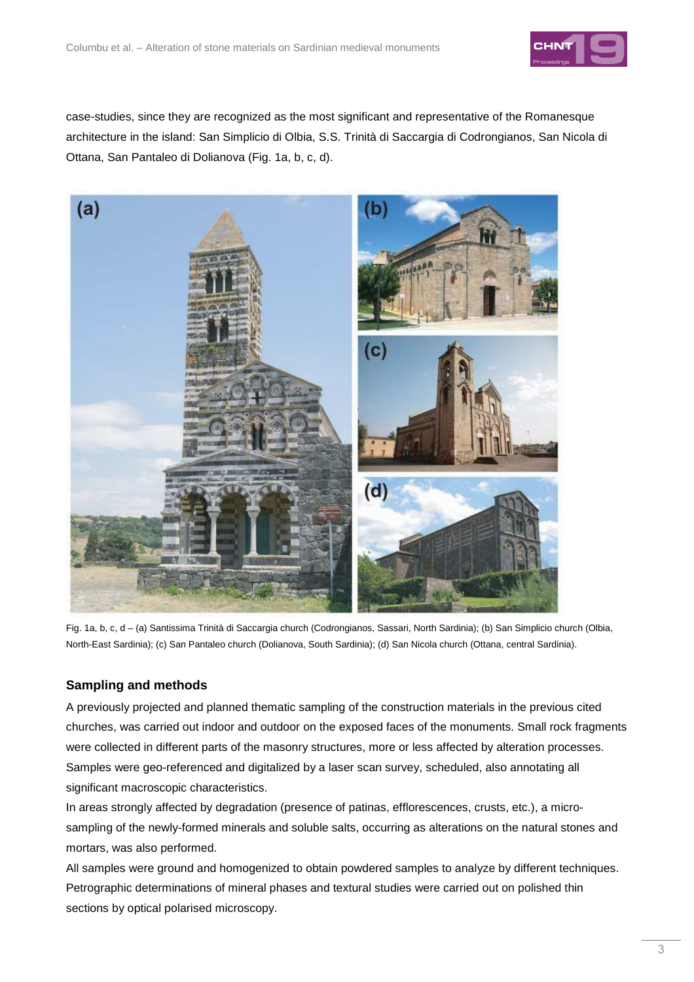

case-studies, since they are recognized as the most significant and representative of the Romanesque architecture in the island: San Simplicio di Olbia, S.S. Trinità di Saccargia di Codrongianos, San Nicola di Ottana, San Pantaleo di Dolianova (Fig. 1a, b, c, d).



Fig. 1a, b, c, d – (a) Santissima Trinità di Saccargia church (Codrongianos, Sassari, North Sardinia); (b) San Simplicio church (Olbia, North-East Sardinia); (c) San Pantaleo church (Dolianova, South Sardinia); (d) San Nicola church (Ottana, central Sardinia).

## **Sampling and methods**

A previously projected and planned thematic sampling of the construction materials in the previous cited churches, was carried out indoor and outdoor on the exposed faces of the monuments. Small rock fragments were collected in different parts of the masonry structures, more or less affected by alteration processes. Samples were geo-referenced and digitalized by a laser scan survey, scheduled, also annotating all significant macroscopic characteristics.

In areas strongly affected by degradation (presence of patinas, efflorescences, crusts, etc.), a microsampling of the newly-formed minerals and soluble salts, occurring as alterations on the natural stones and mortars, was also performed.

All samples were ground and homogenized to obtain powdered samples to analyze by different techniques. Petrographic determinations of mineral phases and textural studies were carried out on polished thin sections by optical polarised microscopy.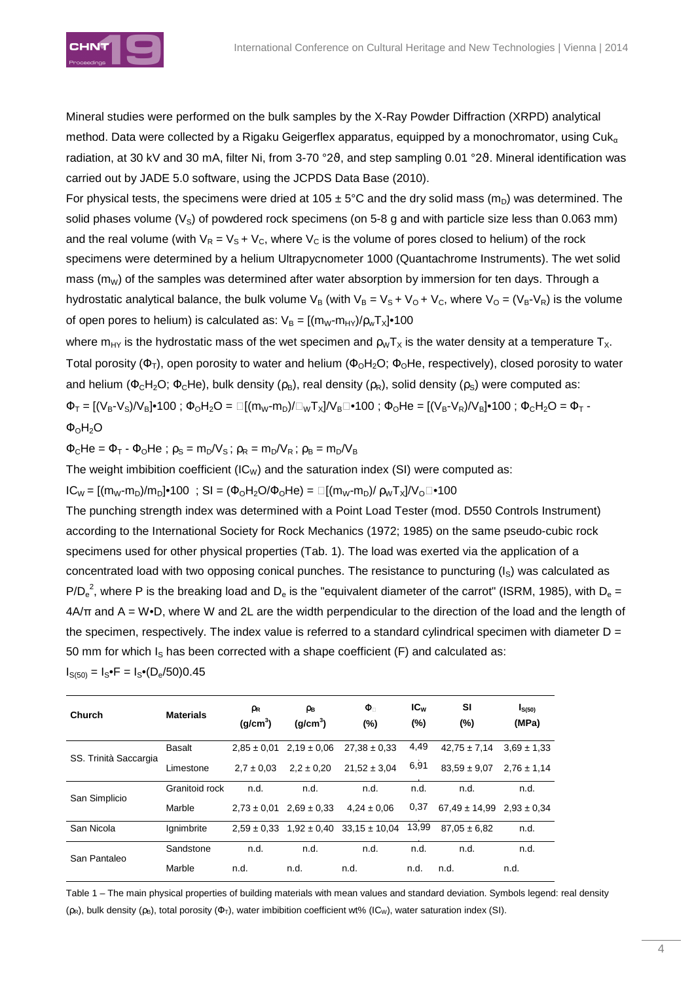

Mineral studies were performed on the bulk samples by the X-Ray Powder Diffraction (XRPD) analytical method. Data were collected by a Rigaku Geigerflex apparatus, equipped by a monochromator, using Cuk<sub>a</sub> radiation, at 30 kV and 30 mA, filter Ni, from 3-70 °2 $\vartheta$ , and step sampling 0.01 °2 $\vartheta$ . Mineral identification was carried out by JADE 5.0 software, using the JCPDS Data Base (2010).

For physical tests, the specimens were dried at 105  $\pm$  5°C and the dry solid mass (m<sub>n</sub>) was determined. The solid phases volume  $(V<sub>S</sub>)$  of powdered rock specimens (on 5-8 g and with particle size less than 0.063 mm) and the real volume (with  $V_R = V_S + V_C$ , where  $V_C$  is the volume of pores closed to helium) of the rock specimens were determined by a helium Ultrapycnometer 1000 (Quantachrome Instruments). The wet solid mass ( $m_W$ ) of the samples was determined after water absorption by immersion for ten days. Through a hydrostatic analytical balance, the bulk volume  $V_B$  (with  $V_B = V_S + V_O + V_C$ , where  $V_O = (V_B - V_R)$  is the volume of open pores to helium) is calculated as:  $V_B = [(m_W-m_{HY})/\rho_wT_X] \cdot 100$ 

where m<sub>HY</sub> is the hydrostatic mass of the wet specimen and  $\rho_W T_X$  is the water density at a temperature  $T_X$ . Total porosity ( $\Phi_T$ ), open porosity to water and helium ( $\Phi_0H_2O$ ;  $\Phi_0He$ , respectively), closed porosity to water and helium ( $\Phi_c H_2 O$ ;  $\Phi_c H$ e), bulk density ( $\rho_B$ ), real density ( $\rho_R$ ), solid density ( $\rho_S$ ) were computed as:  $\Phi_T = [(\mathcal{V}_{B} - \mathcal{V}_{S})/\mathcal{V}_{B}] \cdot 100$ ;  $\Phi_0 H_2 O = \Box [(m_W - m_D)/\Box_W T_X]/V_B \Box \cdot 100$ ;  $\Phi_0 He = [(\mathcal{V}_{B} - \mathcal{V}_{B})/\mathcal{V}_{B}] \cdot 100$ ;  $\Phi_C H_2 O = \Phi_T - \mathcal{V}_{B}$  $\Phi_0H_2O$ 

 $\Phi_C$ He =  $\Phi_T$  -  $\Phi_O$ He;  $\rho_S = m_D/V_S$ ;  $\rho_R = m_D/V_R$ ;  $\rho_B = m_D/V_B$ 

The weight imbibition coefficient (IC<sub>W</sub>) and the saturation index (SI) were computed as:

 $IC_{W} = [(m_{W} - m_{D})/m_{D}] \cdot 100$ ; SI =  $(\Phi_{O}H_{2}O/\Phi_{O}He) = \Box [(m_{W} - m_{D})/(\rho_{W}T_{X}]/V_{O} \Box \cdot 100$ 

The punching strength index was determined with a Point Load Tester (mod. D550 Controls Instrument) according to the International Society for Rock Mechanics (1972; 1985) on the same pseudo-cubic rock specimens used for other physical properties (Tab. 1). The load was exerted via the application of a concentrated load with two opposing conical punches. The resistance to puncturing  $(I<sub>S</sub>)$  was calculated as P/D<sub>e</sub><sup>2</sup>, where P is the breaking load and D<sub>e</sub> is the "equivalent diameter of the carrot" (ISRM, 1985), with D<sub>e</sub> = 4A/π and A = W•D, where W and 2L are the width perpendicular to the direction of the load and the length of the specimen, respectively. The index value is referred to a standard cylindrical specimen with diameter  $D =$ 50 mm for which  $I<sub>S</sub>$  has been corrected with a shape coefficient (F) and calculated as:  $I_{S(50)} = I_S \cdot F = I_S \cdot (D_e/50)0.45$ 

| Church                | <b>Materials</b> | ρR<br>(g/cm <sup>3</sup> ) | ρв<br>(a/cm <sup>3</sup> ) | Φ<br>$(\%)$                                       | $IC_{w}$<br>$(\%)$ | SI<br>$(\%)$                      | I <sub>S(50)</sub><br>(MPa) |
|-----------------------|------------------|----------------------------|----------------------------|---------------------------------------------------|--------------------|-----------------------------------|-----------------------------|
| SS. Trinità Saccargia | <b>Basalt</b>    | $2.85 \pm 0.01$            | $2.19 \pm 0.06$            | $27.38 \pm 0.33$                                  | 4,49               | $42,75 \pm 7,14$                  | $3.69 \pm 1.33$             |
|                       | Limestone        | $2.7 \pm 0.03$             | $2.2 \pm 0.20$             | $21,52 \pm 3,04$                                  | 6,91               | $83.59 \pm 9.07$                  | $2.76 \pm 1.14$             |
| San Simplicio         | Granitoid rock   | n.d.                       | n.d.                       | n.d.                                              | n.d.               | n.d.                              | n.d.                        |
|                       | Marble           | $2.73 \pm 0.01$            | $2.69 \pm 0.33$            | $4.24 \pm 0.06$                                   | 0,37               | $67.49 \pm 14.99$ $2.93 \pm 0.34$ |                             |
| San Nicola            | Ignimbrite       |                            |                            | $2,59 \pm 0.33$ $1,92 \pm 0.40$ $33,15 \pm 10.04$ | 13,99              | $87.05 \pm 6.82$                  | n.d.                        |
| San Pantaleo          | Sandstone        | n.d.                       | n.d.                       | n.d.                                              | n.d.               | n.d.                              | n.d.                        |
|                       | Marble           | n.d.                       | n.d.                       | n.d.                                              | n.d.               | n.d.                              | n.d.                        |

Table 1 – The main physical properties of building materials with mean values and standard deviation. Symbols legend: real density ( $\rho_R$ ), bulk density ( $\rho_B$ ), total porosity ( $\Phi_T$ ), water imbibition coefficient wt% (IC<sub>W</sub>), water saturation index (SI).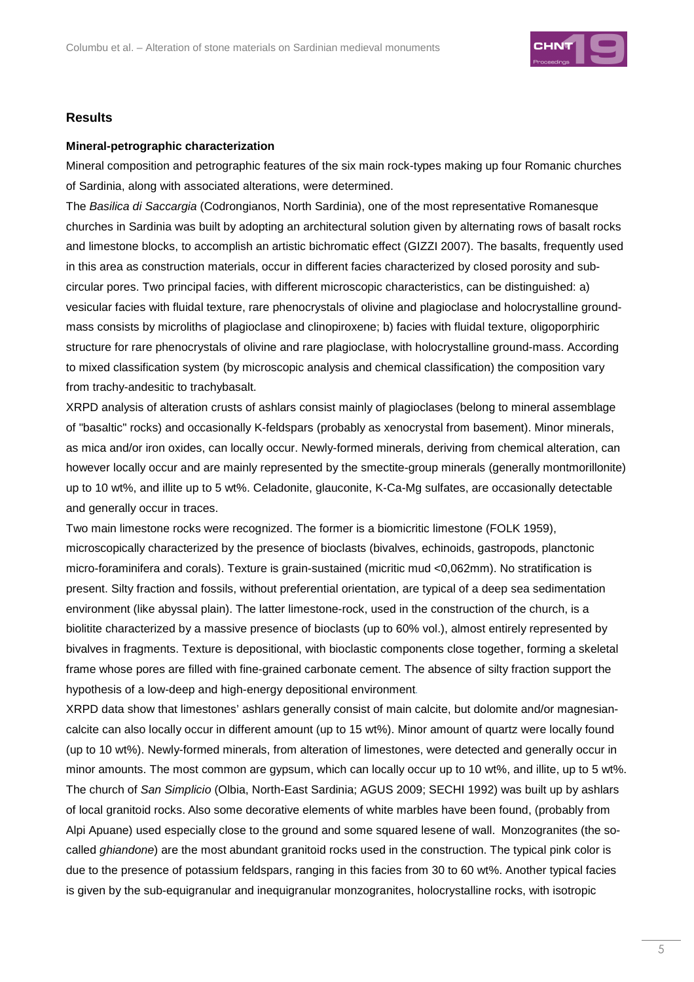

#### **Results**

#### **Mineral-petrographic characterization**

Mineral composition and petrographic features of the six main rock-types making up four Romanic churches of Sardinia, along with associated alterations, were determined.

The Basilica di Saccargia (Codrongianos, North Sardinia), one of the most representative Romanesque churches in Sardinia was built by adopting an architectural solution given by alternating rows of basalt rocks and limestone blocks, to accomplish an artistic bichromatic effect (GIZZI 2007). The basalts, frequently used in this area as construction materials, occur in different facies characterized by closed porosity and subcircular pores. Two principal facies, with different microscopic characteristics, can be distinguished: a) vesicular facies with fluidal texture, rare phenocrystals of olivine and plagioclase and holocrystalline groundmass consists by microliths of plagioclase and clinopiroxene; b) facies with fluidal texture, oligoporphiric structure for rare phenocrystals of olivine and rare plagioclase, with holocrystalline ground-mass. According to mixed classification system (by microscopic analysis and chemical classification) the composition vary from trachy-andesitic to trachybasalt.

XRPD analysis of alteration crusts of ashlars consist mainly of plagioclases (belong to mineral assemblage of "basaltic" rocks) and occasionally K-feldspars (probably as xenocrystal from basement). Minor minerals, as mica and/or iron oxides, can locally occur. Newly-formed minerals, deriving from chemical alteration, can however locally occur and are mainly represented by the smectite-group minerals (generally montmorillonite) up to 10 wt%, and illite up to 5 wt%. Celadonite, glauconite, K-Ca-Mg sulfates, are occasionally detectable and generally occur in traces.

Two main limestone rocks were recognized. The former is a biomicritic limestone (FOLK 1959), microscopically characterized by the presence of bioclasts (bivalves, echinoids, gastropods, planctonic micro-foraminifera and corals). Texture is grain-sustained (micritic mud <0,062mm). No stratification is present. Silty fraction and fossils, without preferential orientation, are typical of a deep sea sedimentation environment (like abyssal plain). The latter limestone-rock, used in the construction of the church, is a biolitite characterized by a massive presence of bioclasts (up to 60% vol.), almost entirely represented by bivalves in fragments. Texture is depositional, with bioclastic components close together, forming a skeletal frame whose pores are filled with fine-grained carbonate cement. The absence of silty fraction support the hypothesis of a low-deep and high-energy depositional environment.

XRPD data show that limestones' ashlars generally consist of main calcite, but dolomite and/or magnesiancalcite can also locally occur in different amount (up to 15 wt%). Minor amount of quartz were locally found (up to 10 wt%). Newly-formed minerals, from alteration of limestones, were detected and generally occur in minor amounts. The most common are gypsum, which can locally occur up to 10 wt%, and illite, up to 5 wt%. The church of San Simplicio (Olbia, North-East Sardinia; AGUS 2009; SECHI 1992) was built up by ashlars of local granitoid rocks. Also some decorative elements of white marbles have been found, (probably from Alpi Apuane) used especially close to the ground and some squared lesene of wall. Monzogranites (the socalled *ghiandone*) are the most abundant granitoid rocks used in the construction. The typical pink color is due to the presence of potassium feldspars, ranging in this facies from 30 to 60 wt%. Another typical facies is given by the sub-equigranular and inequigranular monzogranites, holocrystalline rocks, with isotropic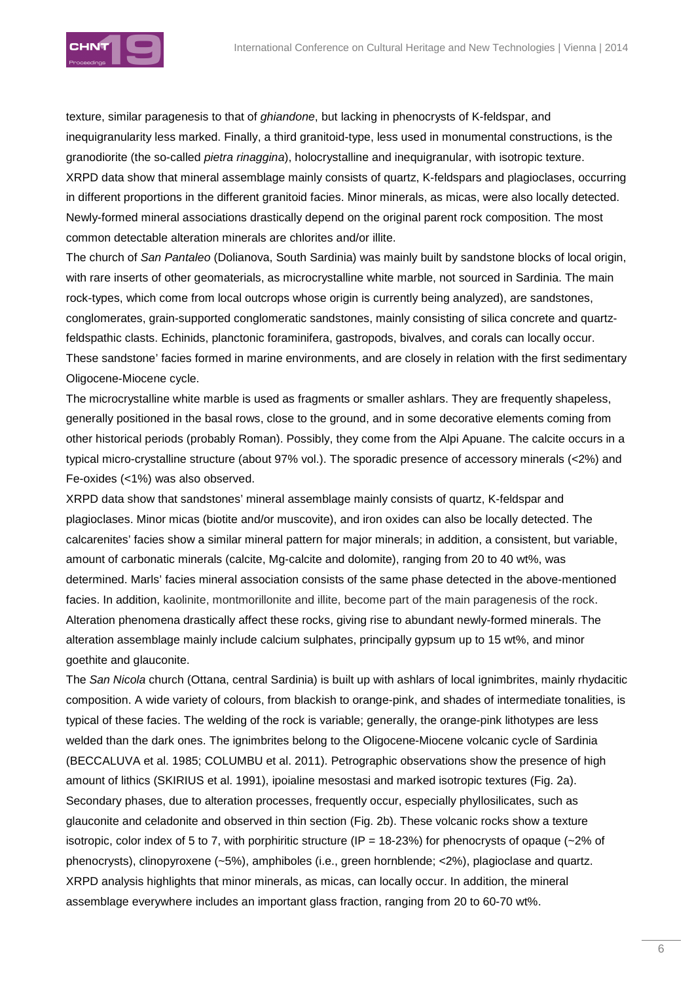

texture, similar paragenesis to that of ghiandone, but lacking in phenocrysts of K-feldspar, and inequigranularity less marked. Finally, a third granitoid-type, less used in monumental constructions, is the granodiorite (the so-called pietra rinaggina), holocrystalline and inequigranular, with isotropic texture. XRPD data show that mineral assemblage mainly consists of quartz, K-feldspars and plagioclases, occurring in different proportions in the different granitoid facies. Minor minerals, as micas, were also locally detected. Newly-formed mineral associations drastically depend on the original parent rock composition. The most common detectable alteration minerals are chlorites and/or illite.

The church of San Pantaleo (Dolianova, South Sardinia) was mainly built by sandstone blocks of local origin, with rare inserts of other geomaterials, as microcrystalline white marble, not sourced in Sardinia. The main rock-types, which come from local outcrops whose origin is currently being analyzed), are sandstones, conglomerates, grain-supported conglomeratic sandstones, mainly consisting of silica concrete and quartzfeldspathic clasts. Echinids, planctonic foraminifera, gastropods, bivalves, and corals can locally occur. These sandstone' facies formed in marine environments, and are closely in relation with the first sedimentary Oligocene-Miocene cycle.

The microcrystalline white marble is used as fragments or smaller ashlars. They are frequently shapeless, generally positioned in the basal rows, close to the ground, and in some decorative elements coming from other historical periods (probably Roman). Possibly, they come from the Alpi Apuane. The calcite occurs in a typical micro-crystalline structure (about 97% vol.). The sporadic presence of accessory minerals (<2%) and Fe-oxides (<1%) was also observed.

XRPD data show that sandstones' mineral assemblage mainly consists of quartz, K-feldspar and plagioclases. Minor micas (biotite and/or muscovite), and iron oxides can also be locally detected. The calcarenites' facies show a similar mineral pattern for major minerals; in addition, a consistent, but variable, amount of carbonatic minerals (calcite, Mg-calcite and dolomite), ranging from 20 to 40 wt%, was determined. Marls' facies mineral association consists of the same phase detected in the above-mentioned facies. In addition, kaolinite, montmorillonite and illite, become part of the main paragenesis of the rock. Alteration phenomena drastically affect these rocks, giving rise to abundant newly-formed minerals. The alteration assemblage mainly include calcium sulphates, principally gypsum up to 15 wt%, and minor goethite and glauconite.

The San Nicola church (Ottana, central Sardinia) is built up with ashlars of local ignimbrites, mainly rhydacitic composition. A wide variety of colours, from blackish to orange-pink, and shades of intermediate tonalities, is typical of these facies. The welding of the rock is variable; generally, the orange-pink lithotypes are less welded than the dark ones. The ignimbrites belong to the Oligocene-Miocene volcanic cycle of Sardinia (BECCALUVA et al. 1985; COLUMBU et al. 2011). Petrographic observations show the presence of high amount of lithics (SKIRIUS et al. 1991), ipoialine mesostasi and marked isotropic textures (Fig. 2a). Secondary phases, due to alteration processes, frequently occur, especially phyllosilicates, such as glauconite and celadonite and observed in thin section (Fig. 2b). These volcanic rocks show a texture isotropic, color index of 5 to 7, with porphiritic structure (IP = 18-23%) for phenocrysts of opaque ( $\sim$ 2% of phenocrysts), clinopyroxene (~5%), amphiboles (i.e., green hornblende; <2%), plagioclase and quartz. XRPD analysis highlights that minor minerals, as micas, can locally occur. In addition, the mineral assemblage everywhere includes an important glass fraction, ranging from 20 to 60-70 wt%.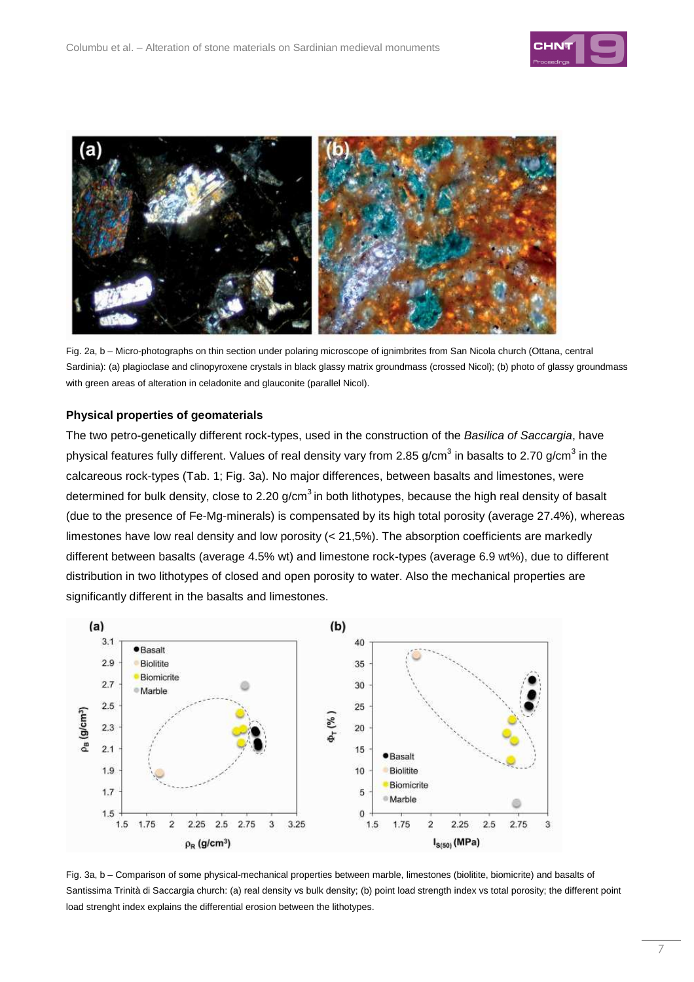



Fig. 2a, b – Micro-photographs on thin section under polaring microscope of ignimbrites from San Nicola church (Ottana, central Sardinia): (a) plagioclase and clinopyroxene crystals in black glassy matrix groundmass (crossed Nicol); (b) photo of glassy groundmass with green areas of alteration in celadonite and glauconite (parallel Nicol).

#### **Physical properties of geomaterials**

The two petro-genetically different rock-types, used in the construction of the Basilica of Saccargia, have physical features fully different. Values of real density vary from 2.85 g/cm $^3$  in basalts to 2.70 g/cm $^3$  in the calcareous rock-types (Tab. 1; Fig. 3a). No major differences, between basalts and limestones, were determined for bulk density, close to 2.20  $g/cm<sup>3</sup>$  in both lithotypes, because the high real density of basalt (due to the presence of Fe-Mg-minerals) is compensated by its high total porosity (average 27.4%), whereas limestones have low real density and low porosity (< 21,5%). The absorption coefficients are markedly different between basalts (average 4.5% wt) and limestone rock-types (average 6.9 wt%), due to different distribution in two lithotypes of closed and open porosity to water. Also the mechanical properties are significantly different in the basalts and limestones.



Fig. 3a, b – Comparison of some physical-mechanical properties between marble, limestones (biolitite, biomicrite) and basalts of Santissima Trinità di Saccargia church: (a) real density vs bulk density: (b) point load strength index vs total porosity: the different point load strenght index explains the differential erosion between the lithotypes.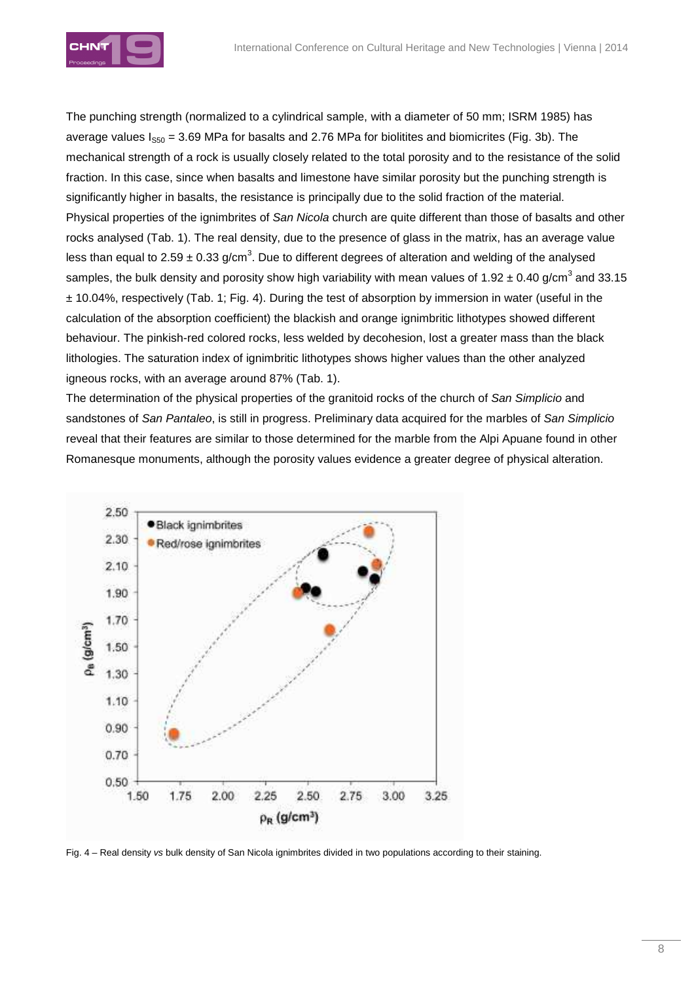

The punching strength (normalized to a cylindrical sample, with a diameter of 50 mm; ISRM 1985) has average values  $I<sub>SS0</sub> = 3.69$  MPa for basalts and 2.76 MPa for biolitites and biomicrites (Fig. 3b). The mechanical strength of a rock is usually closely related to the total porosity and to the resistance of the solid fraction. In this case, since when basalts and limestone have similar porosity but the punching strength is significantly higher in basalts, the resistance is principally due to the solid fraction of the material. Physical properties of the ignimbrites of San Nicola church are quite different than those of basalts and other rocks analysed (Tab. 1). The real density, due to the presence of glass in the matrix, has an average value less than equal to 2.59  $\pm$  0.33 g/cm<sup>3</sup>. Due to different degrees of alteration and welding of the analysed samples, the bulk density and porosity show high variability with mean values of 1.92 ± 0.40 g/cm<sup>3</sup> and 33.15  $\pm$  10.04%, respectively (Tab. 1; Fig. 4). During the test of absorption by immersion in water (useful in the calculation of the absorption coefficient) the blackish and orange ignimbritic lithotypes showed different behaviour. The pinkish-red colored rocks, less welded by decohesion, lost a greater mass than the black lithologies. The saturation index of ignimbritic lithotypes shows higher values than the other analyzed igneous rocks, with an average around 87% (Tab. 1).

The determination of the physical properties of the granitoid rocks of the church of San Simplicio and sandstones of San Pantaleo, is still in progress. Preliminary data acquired for the marbles of San Simplicio reveal that their features are similar to those determined for the marble from the Alpi Apuane found in other Romanesque monuments, although the porosity values evidence a greater degree of physical alteration.



Fig. 4 – Real density vs bulk density of San Nicola ignimbrites divided in two populations according to their staining.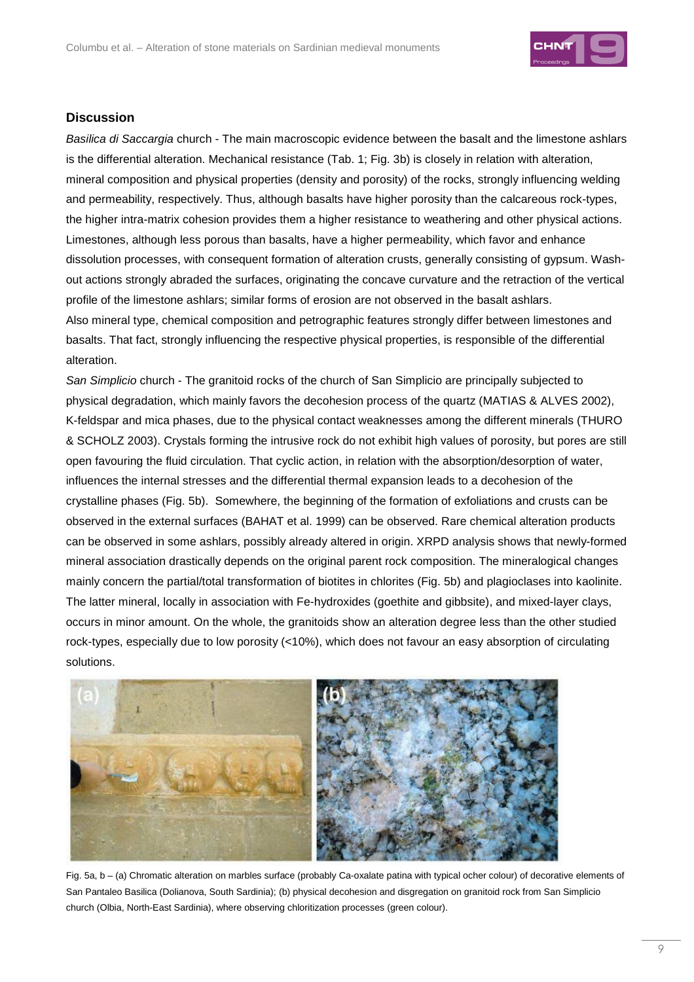

### **Discussion**

Basilica di Saccargia church - The main macroscopic evidence between the basalt and the limestone ashlars is the differential alteration. Mechanical resistance (Tab. 1; Fig. 3b) is closely in relation with alteration, mineral composition and physical properties (density and porosity) of the rocks, strongly influencing welding and permeability, respectively. Thus, although basalts have higher porosity than the calcareous rock-types, the higher intra-matrix cohesion provides them a higher resistance to weathering and other physical actions. Limestones, although less porous than basalts, have a higher permeability, which favor and enhance dissolution processes, with consequent formation of alteration crusts, generally consisting of gypsum. Washout actions strongly abraded the surfaces, originating the concave curvature and the retraction of the vertical profile of the limestone ashlars; similar forms of erosion are not observed in the basalt ashlars. Also mineral type, chemical composition and petrographic features strongly differ between limestones and basalts. That fact, strongly influencing the respective physical properties, is responsible of the differential alteration.

San Simplicio church - The granitoid rocks of the church of San Simplicio are principally subjected to physical degradation, which mainly favors the decohesion process of the quartz (MATIAS & ALVES 2002), K-feldspar and mica phases, due to the physical contact weaknesses among the different minerals (THURO & SCHOLZ 2003). Crystals forming the intrusive rock do not exhibit high values of porosity, but pores are still open favouring the fluid circulation. That cyclic action, in relation with the absorption/desorption of water, influences the internal stresses and the differential thermal expansion leads to a decohesion of the crystalline phases (Fig. 5b). Somewhere, the beginning of the formation of exfoliations and crusts can be observed in the external surfaces (BAHAT et al. 1999) can be observed. Rare chemical alteration products can be observed in some ashlars, possibly already altered in origin. XRPD analysis shows that newly-formed mineral association drastically depends on the original parent rock composition. The mineralogical changes mainly concern the partial/total transformation of biotites in chlorites (Fig. 5b) and plagioclases into kaolinite. The latter mineral, locally in association with Fe-hydroxides (goethite and gibbsite), and mixed-layer clays, occurs in minor amount. On the whole, the granitoids show an alteration degree less than the other studied rock-types, especially due to low porosity (<10%), which does not favour an easy absorption of circulating solutions.



Fig. 5a, b – (a) Chromatic alteration on marbles surface (probably Ca-oxalate patina with typical ocher colour) of decorative elements of San Pantaleo Basilica (Dolianova, South Sardinia); (b) physical decohesion and disgregation on granitoid rock from San Simplicio church (Olbia, North-East Sardinia), where observing chloritization processes (green colour).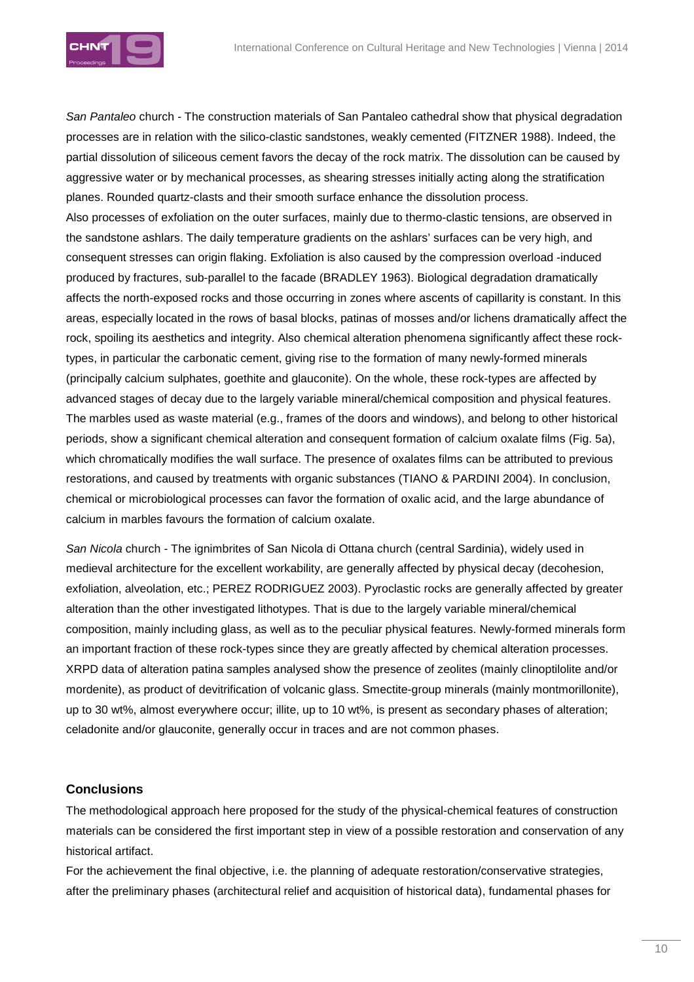

San Pantaleo church - The construction materials of San Pantaleo cathedral show that physical degradation processes are in relation with the silico-clastic sandstones, weakly cemented (FITZNER 1988). Indeed, the partial dissolution of siliceous cement favors the decay of the rock matrix. The dissolution can be caused by aggressive water or by mechanical processes, as shearing stresses initially acting along the stratification planes. Rounded quartz-clasts and their smooth surface enhance the dissolution process. Also processes of exfoliation on the outer surfaces, mainly due to thermo-clastic tensions, are observed in the sandstone ashlars. The daily temperature gradients on the ashlars' surfaces can be very high, and consequent stresses can origin flaking. Exfoliation is also caused by the compression overload -induced produced by fractures, sub-parallel to the facade (BRADLEY 1963). Biological degradation dramatically affects the north-exposed rocks and those occurring in zones where ascents of capillarity is constant. In this areas, especially located in the rows of basal blocks, patinas of mosses and/or lichens dramatically affect the rock, spoiling its aesthetics and integrity. Also chemical alteration phenomena significantly affect these rocktypes, in particular the carbonatic cement, giving rise to the formation of many newly-formed minerals (principally calcium sulphates, goethite and glauconite). On the whole, these rock-types are affected by advanced stages of decay due to the largely variable mineral/chemical composition and physical features. The marbles used as waste material (e.g., frames of the doors and windows), and belong to other historical periods, show a significant chemical alteration and consequent formation of calcium oxalate films (Fig. 5a), which chromatically modifies the wall surface. The presence of oxalates films can be attributed to previous restorations, and caused by treatments with organic substances (TIANO & PARDINI 2004). In conclusion, chemical or microbiological processes can favor the formation of oxalic acid, and the large abundance of calcium in marbles favours the formation of calcium oxalate.

San Nicola church - The ignimbrites of San Nicola di Ottana church (central Sardinia), widely used in medieval architecture for the excellent workability, are generally affected by physical decay (decohesion, exfoliation, alveolation, etc.; PEREZ RODRIGUEZ 2003). Pyroclastic rocks are generally affected by greater alteration than the other investigated lithotypes. That is due to the largely variable mineral/chemical composition, mainly including glass, as well as to the peculiar physical features. Newly-formed minerals form an important fraction of these rock-types since they are greatly affected by chemical alteration processes. XRPD data of alteration patina samples analysed show the presence of zeolites (mainly clinoptilolite and/or mordenite), as product of devitrification of volcanic glass. Smectite-group minerals (mainly montmorillonite), up to 30 wt%, almost everywhere occur; illite, up to 10 wt%, is present as secondary phases of alteration; celadonite and/or glauconite, generally occur in traces and are not common phases.

### **Conclusions**

The methodological approach here proposed for the study of the physical-chemical features of construction materials can be considered the first important step in view of a possible restoration and conservation of any historical artifact.

For the achievement the final objective, i.e. the planning of adequate restoration/conservative strategies, after the preliminary phases (architectural relief and acquisition of historical data), fundamental phases for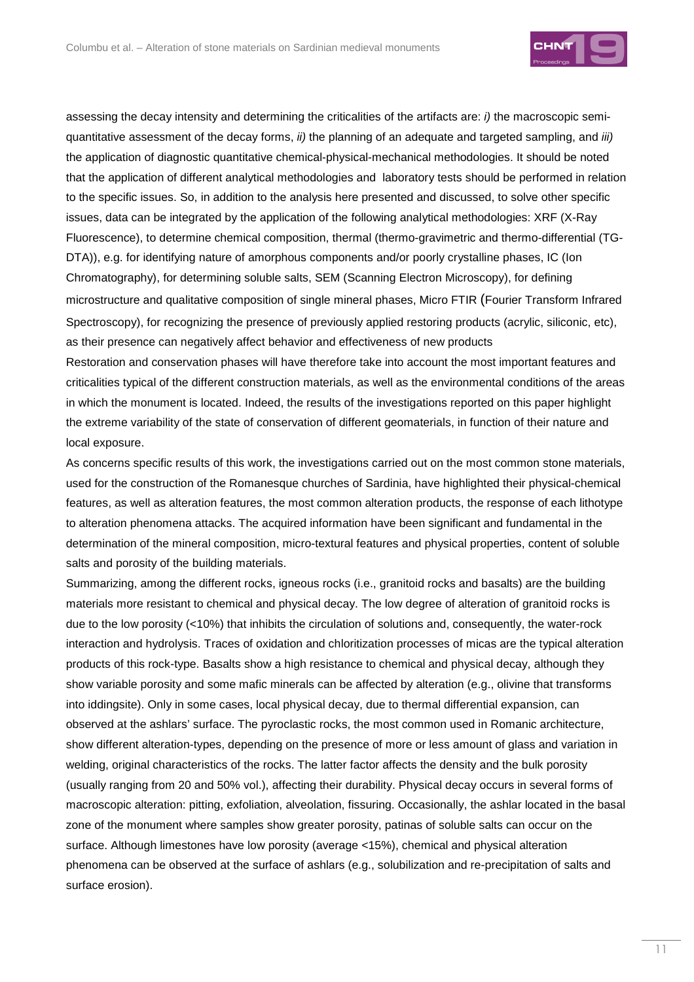

assessing the decay intensity and determining the criticalities of the artifacts are: i) the macroscopic semiquantitative assessment of the decay forms, *ii*) the planning of an adequate and targeted sampling, and *iii*) the application of diagnostic quantitative chemical-physical-mechanical methodologies. It should be noted that the application of different analytical methodologies and laboratory tests should be performed in relation to the specific issues. So, in addition to the analysis here presented and discussed, to solve other specific issues, data can be integrated by the application of the following analytical methodologies: XRF (X-Ray Fluorescence), to determine chemical composition, thermal (thermo-gravimetric and thermo-differential (TG-DTA)), e.g. for identifying nature of amorphous components and/or poorly crystalline phases, IC (Ion Chromatography), for determining soluble salts, SEM (Scanning Electron Microscopy), for defining microstructure and qualitative composition of single mineral phases, Micro FTIR (Fourier Transform Infrared Spectroscopy), for recognizing the presence of previously applied restoring products (acrylic, siliconic, etc), as their presence can negatively affect behavior and effectiveness of new products

Restoration and conservation phases will have therefore take into account the most important features and criticalities typical of the different construction materials, as well as the environmental conditions of the areas in which the monument is located. Indeed, the results of the investigations reported on this paper highlight the extreme variability of the state of conservation of different geomaterials, in function of their nature and local exposure.

As concerns specific results of this work, the investigations carried out on the most common stone materials, used for the construction of the Romanesque churches of Sardinia, have highlighted their physical-chemical features, as well as alteration features, the most common alteration products, the response of each lithotype to alteration phenomena attacks. The acquired information have been significant and fundamental in the determination of the mineral composition, micro-textural features and physical properties, content of soluble salts and porosity of the building materials.

Summarizing, among the different rocks, igneous rocks (i.e., granitoid rocks and basalts) are the building materials more resistant to chemical and physical decay. The low degree of alteration of granitoid rocks is due to the low porosity (<10%) that inhibits the circulation of solutions and, consequently, the water-rock interaction and hydrolysis. Traces of oxidation and chloritization processes of micas are the typical alteration products of this rock-type. Basalts show a high resistance to chemical and physical decay, although they show variable porosity and some mafic minerals can be affected by alteration (e.g., olivine that transforms into iddingsite). Only in some cases, local physical decay, due to thermal differential expansion, can observed at the ashlars' surface. The pyroclastic rocks, the most common used in Romanic architecture, show different alteration-types, depending on the presence of more or less amount of glass and variation in welding, original characteristics of the rocks. The latter factor affects the density and the bulk porosity (usually ranging from 20 and 50% vol.), affecting their durability. Physical decay occurs in several forms of macroscopic alteration: pitting, exfoliation, alveolation, fissuring. Occasionally, the ashlar located in the basal zone of the monument where samples show greater porosity, patinas of soluble salts can occur on the surface. Although limestones have low porosity (average <15%), chemical and physical alteration phenomena can be observed at the surface of ashlars (e.g., solubilization and re-precipitation of salts and surface erosion).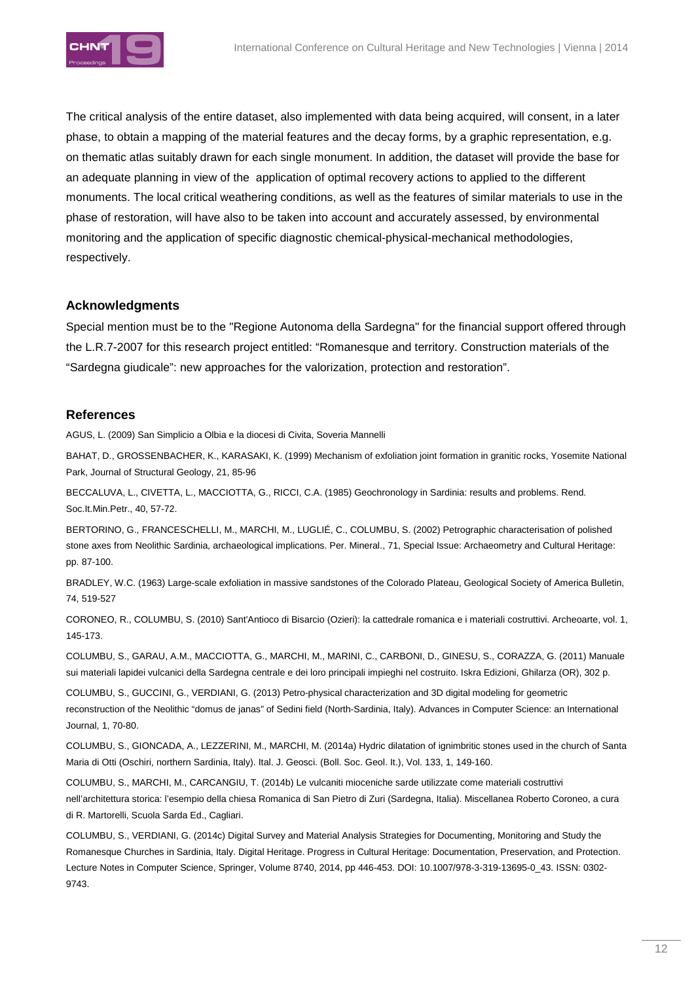

The critical analysis of the entire dataset, also implemented with data being acquired, will consent, in a later phase, to obtain a mapping of the material features and the decay forms, by a graphic representation, e.g. on thematic atlas suitably drawn for each single monument. In addition, the dataset will provide the base for an adequate planning in view of the application of optimal recovery actions to applied to the different monuments. The local critical weathering conditions, as well as the features of similar materials to use in the phase of restoration, will have also to be taken into account and accurately assessed, by environmental monitoring and the application of specific diagnostic chemical-physical-mechanical methodologies, respectively.

### **Acknowledgments**

Special mention must be to the "Regione Autonoma della Sardegna" for the financial support offered through the L.R.7-2007 for this research project entitled: "Romanesque and territory. Construction materials of the "Sardegna giudicale": new approaches for the valorization, protection and restoration".

#### **References**

AGUS, L. (2009) San Simplicio a Olbia e la diocesi di Civita, Soveria Mannelli

BAHAT, D., GROSSENBACHER, K., KARASAKI, K. (1999) Mechanism of exfoliation joint formation in granitic rocks, Yosemite National Park, Journal of Structural Geology, 21, 85-96

BECCALUVA, L., CIVETTA, L., MACCIOTTA, G., RICCI, C.A. (1985) Geochronology in Sardinia: results and problems. Rend. Soc.It.Min.Petr., 40, 57-72.

BERTORINO, G., FRANCESCHELLI, M., MARCHI, M., LUGLIÉ, C., COLUMBU, S. (2002) Petrographic characterisation of polished stone axes from Neolithic Sardinia, archaeological implications. Per. Mineral., 71, Special Issue: Archaeometry and Cultural Heritage: pp. 87-100.

BRADLEY, W.C. (1963) Large-scale exfoliation in massive sandstones of the Colorado Plateau, Geological Society of America Bulletin, 74, 519-527

CORONEO, R., COLUMBU, S. (2010) Sant'Antioco di Bisarcio (Ozieri): la cattedrale romanica e i materiali costruttivi. Archeoarte, vol. 1, 145-173.

COLUMBU, S., GARAU, A.M., MACCIOTTA, G., MARCHI, M., MARINI, C., CARBONI, D., GINESU, S., CORAZZA, G. (2011) Manuale sui materiali lapidei vulcanici della Sardegna centrale e dei loro principali impieghi nel costruito. Iskra Edizioni, Ghilarza (OR), 302 p.

COLUMBU, S., GUCCINI, G., VERDIANI, G. (2013) Petro-physical characterization and 3D digital modeling for geometric reconstruction of the Neolithic "domus de janas" of Sedini field (North-Sardinia, Italy). Advances in Computer Science: an International Journal, 1, 70-80.

COLUMBU, S., GIONCADA, A., LEZZERINI, M., MARCHI, M. (2014a) Hydric dilatation of ignimbritic stones used in the church of Santa Maria di Otti (Oschiri, northern Sardinia, Italy). Ital. J. Geosci. (Boll. Soc. Geol. It.), Vol. 133, 1, 149-160.

COLUMBU, S., MARCHI, M., CARCANGIU, T. (2014b) Le vulcaniti mioceniche sarde utilizzate come materiali costruttivi nell'architettura storica: l'esempio della chiesa Romanica di San Pietro di Zuri (Sardegna, Italia). Miscellanea Roberto Coroneo, a cura di R. Martorelli, Scuola Sarda Ed., Cagliari.

COLUMBU, S., VERDIANI, G. (2014c) Digital Survey and Material Analysis Strategies for Documenting, Monitoring and Study the Romanesque Churches in Sardinia, Italy. Digital Heritage. Progress in Cultural Heritage: Documentation, Preservation, and Protection. Lecture Notes in Computer Science, Springer, Volume 8740, 2014, pp 446-453. DOI: 10.1007/978-3-319-13695-0\_43. ISSN: 0302- 9743.